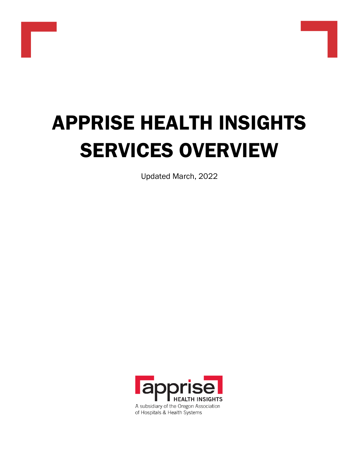

Updated March, 2022

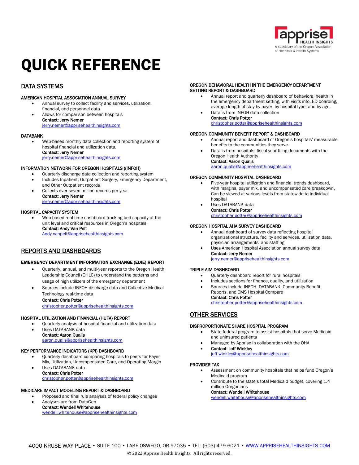

# QUICK REFERENCE

### DATA SYSTEMS

### AMERICAN HOSPITAL ASSOCIATION ANNUAL SURVEY

- Annual survey to collect facility and services, utilization, financial, and personnel data
- Allows for comparison between hospitals Contact: Jerry Nemer [jerry.nemer@apprisehealthinsights.com](mailto:jerry.nemer@apprisehealthinsights.com)

### DATABANK

• Web-based monthly data collection and reporting system of hospital financial and utilization data. Contact: Jerry Nemer

[jerry.nemer@apprisehealthinsights.com](mailto:jerry.nemer@apprisehealthinsights.com)

### INFORMATION NETWORK FOR OREGON HOSPITALS ((INFOH)

- Quarterly discharge data collection and reporting system
- Includes Inpatient, Outpatient Surgery, Emergency Department, and Other Outpatient records
- Collects over seven million records per year Contact: Jerry Nemer [jerry.nemer@apprisehealthinsights.com](mailto:jerry.nemer@apprisehealthinsights.com)

### HOSPITAL CAPACITY SYSTEM

• Web-based real-time dashboard tracking bed capacity at the unit level and critical resources in Oregon's hospitals. Contact: Andy Van Pelt [Andy.vanpelt@apprisehealthinsights.com](mailto:Andy.vanpelt@apprisehealthinsights.com)

### REPORTS AND DASHBOARDS

### EMERGENCY DEPARTMENT INFORMATION EXCHANGE (EDIE) REPORT

- Quarterly, annual, and multi-year reports to the Oregon Health Leadership Council (OHLC) to understand the patterns and usage of high utilizers of the emergency department
- Sources include INFOH discharge data and Collective Medical Technology real-time data

### Contact: Chris Potter

[christopher.potter@apprisehealthinsights.com](mailto:christopher.potter@apprisehealthinsights.com)

#### HOSPITAL UTILIZATION AND FINANCIAL (HUFA) REPORT

- Quarterly analysis of hospital financial and utilization data
- Uses DATABANK data Contact: Aaron Qualls<br>aaron.gualls@annrisel and.<br>apprisehealthinsights.com

### KEY PERFORMANCE INDICATORS (KPI) DASHBOARD

- Quarterly dashboard comparing hospitals to peers for Payer Mix, Utilization, Uncompensated Care, and Operating Margin
- Uses DATABANK data Contact: Chris Potter [christopher.potter@apprisehealthinsights.com](mailto:christopher.potter@apprisehealthinsights.com)

### MEDICARE IMPACT MODELING REPORT & DASHBOARD

- Proposed and final rule analyses of federal policy changes
- Analyses are from DataGen Contact: Wendell Whitehouse [wendell.whitehouse@apprisehealthinsights.com](mailto:wendell.whitehouse@apprisehealthinsights.com)

### OREGON BEHAVIORAL HEALTH IN THE EMERGENCY DEPARTMENT SETTING REPORT & DASHBOARD

- Annual report and quarterly dashboard of behavioral health in the emergency department setting, with visits info, ED boarding, average length of stay by payer, by hospital type, and by age.
	- Data is from INFOH data collection Contact: Chris Potter [christopher.potter@apprisehealthinsights.com](mailto:christopher.potter@apprisehealthinsights.com)

### OREGON COMMUNITY BENEFIT REPORT & DASHBOARD

- Annual report and dashboard of Oregon's hospitals' measurable benefits to the communities they serve.
- Data is from hospitals' fiscal year filing documents with the Oregon Health Authority

#### Contact: Aaron Qualls [aaron.qualls@apprisehealthinsights.com](mailto:aaron.qualls@apprisehealthinsights.com)

### OREGON COMMUNITY HOSPITAL DASHBOARD

- Five-year hospital utilization and financial trends dashboard, with margins, payer mix, and uncompensated care breakdown. Can be viewed at various levels from statewide to individual hospital
- Uses DATABANK data Contact: Chris Potter

[christopher.potter@apprisehealthinsights.com](mailto:christopher.potter@apprisehealthinsights.com)

### OREGON HOSPITAL AHA SURVEY DASHBOARD

- Annual dashboard of survey data reflecting hospital organizational structure, facility and services, utilization data, physician arrangements, and staffing
- Uses American Hospital Association annual survey data Contact: Jerry Nemer

[jerry.nemer@apprisehealthinsights.com](mailto:jerry.nemer@apprisehealthinsights.com)

### TRIPLE AIM DASHBOARD

- Quarterly dashboard report for rural hospitals
- Includes sections for finance, quality, and utilization
- Sources include INFOH, DATABANK, Community Benefit Reports, and CMS Hospital Compare Contact: Chris Potter

[christopher.potter@apprisehealthinsights.com](mailto:christopher.potter@apprisehealthinsights.com)

### OTHER SERVICES

### DISPROPORTIONATE SHARE HOSPITAL PROGRAM

- State-federal program to assist hospitals that serve Medicaid and uninsured patients
- Managed by Apprise in collaboration with the OHA
- Contact: Jeff Winkley [jeff.winkley@apprisehealthinsights.com](mailto:jeff.winkley@apprisehealthinsights.com)

#### PROVIDER TAX

- Assessment on community hospitals that helps fund Oregon's Medicaid program
- Contribute to the state's total Medicaid budget, covering 1.4 million Oregonians

#### Contact: Wendell Whitehouse

[wendell.whitehouse@apprisehealthinsights.com](mailto:wendell.whitehouse@apprisehealthinsights.com)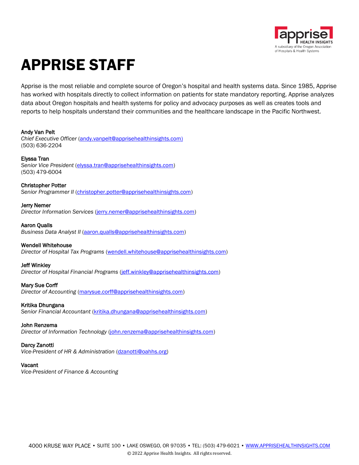

# APPRISE STAFF

Apprise is the most reliable and complete source of Oregon's hospital and health systems data. Since 1985, Apprise has worked with hospitals directly to collect information on patients for state mandatory reporting. Apprise analyzes data about Oregon hospitals and health systems for policy and advocacy purposes as well as creates tools and reports to help hospitals understand their communities and the healthcare landscape in the Pacific Northwest.

### Andy Van Pelt

*Chief Executive Officer* [\(andy.vanpelt@apprisehealthinsights.com\)](mailto:andy.vanpelt@apprisehealthinsights.com) (503) 636-2204

### Elyssa Tran

*Senior Vice President* [\(elyssa.tran@apprisehealthinsights.com\)](mailto:elyssa.tran@apprisehealthinsights.com) (503) 479-6004

### Christopher Potter

*Senior Programmer II* [\(christopher.potter@apprisehealthinsights.com\)](mailto:christopher.potter@apprisehealthinsights.com)

### Jerry Nemer

*Director Information Services* [\(jerry.nemer@apprisehealthinsights.com\)](mailto:jerry.nemer@apprisehealthinsights.com)

### Aaron Qualls

*Business Data Analyst II* [\(aaron.qualls@apprisehealthinsights.com\)](mailto:aaron.qualls@apprisehealthinsights.com)

### Wendell Whitehouse

*Director of Hospital Tax Programs* [\(wendell.whitehouse@apprisehealthinsights.com\)](mailto:wendell.whitehouse@apprisehealthinsights.com)

### Jeff Winkley

*Director of Hospital Financial Programs* [\(jeff.winkley@apprisehealthinsights.com\)](mailto:jeff.winkley@apprisehealthinsights.com)

### Mary Sue Corff

*Director of Accounting* [\(marysue.corff@apprisehealthinsights.com\)](mailto:marysue.corff@apprisehealthinsights.com)

### Kritika Dhungana

*Senior Financial Accountant* [\(kritika.dhungana@apprisehealthinsights.com\)](mailto:kritika.dhungana@apprisehealthinsights.com)

### John Renzema

*Director of Information Technology* [\(john.renzema@apprisehealthinsights.com\)](mailto:john.renzema@apprisehealthinsights.com)

### Darcy Zanotti

*Vice-President of HR & Administration* [\(dzanotti@oahhs.org\)](mailto:dzanotti@oahhs.org)

### Vacant

*Vice-President of Finance & Accounting*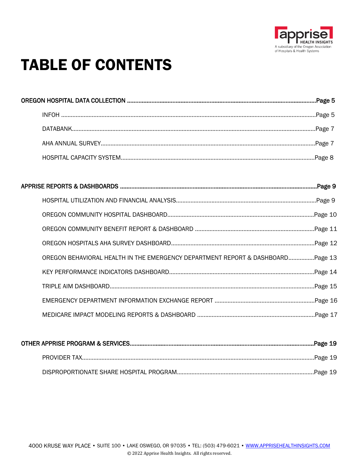

# **TABLE OF CONTENTS**

| OREGON BEHAVIORAL HEALTH IN THE EMERGENCY DEPARTMENT REPORT & DASHBOARDPage 13 |  |
|--------------------------------------------------------------------------------|--|
|                                                                                |  |
|                                                                                |  |
|                                                                                |  |
|                                                                                |  |
|                                                                                |  |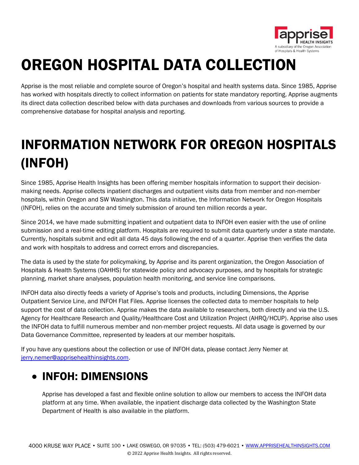

# OREGON HOSPITAL DATA COLLECTION

Apprise is the most reliable and complete source of Oregon's hospital and health systems data. Since 1985, Apprise has worked with hospitals directly to collect information on patients for state mandatory reporting. Apprise augments its direct data collection described below with data purchases and downloads from various sources to provide a comprehensive database for hospital analysis and reporting.

# INFORMATION NETWORK FOR OREGON HOSPITALS (INFOH)

Since 1985, Apprise Health Insights has been offering member hospitals information to support their decisionmaking needs. Apprise collects inpatient discharges and outpatient visits data from member and non-member hospitals, within Oregon and SW Washington. This data initiative, the Information Network for Oregon Hospitals (INFOH), relies on the accurate and timely submission of around ten million records a year.

Since 2014, we have made submitting inpatient and outpatient data to INFOH even easier with the use of online submission and a real-time editing platform. Hospitals are required to submit data quarterly under a state mandate. Currently, hospitals submit and edit all data 45 days following the end of a quarter. Apprise then verifies the data and work with hospitals to address and correct errors and discrepancies.

The data is used by the state for policymaking, by Apprise and its parent organization, the Oregon Association of Hospitals & Health Systems (OAHHS) for statewide policy and advocacy purposes, and by hospitals for strategic planning, market share analyses, population health monitoring, and service line comparisons.

INFOH data also directly feeds a variety of Apprise's tools and products, including Dimensions, the Apprise Outpatient Service Line, and INFOH Flat Files. Apprise licenses the collected data to member hospitals to help support the cost of data collection. Apprise makes the data available to researchers, both directly and via the U.S. Agency for Healthcare Research and Quality/Healthcare Cost and Utilization Project (AHRQ/HCUP). Apprise also uses the INFOH data to fulfill numerous member and non-member project requests. All data usage is governed by our Data Governance Committee, represented by leaders at our member hospitals.

If you have any questions about the collection or use of INFOH data, please contact Jerry Nemer at [jerry.nemer@apprisehealthinsights.com.](mailto:jerry.nemer@apprisehealthinsights.com)

### • INFOH: DIMENSIONS

Apprise has developed a fast and flexible online solution to allow our members to access the INFOH data platform at any time. When available, the inpatient discharge data collected by the Washington State Department of Health is also available in the platform.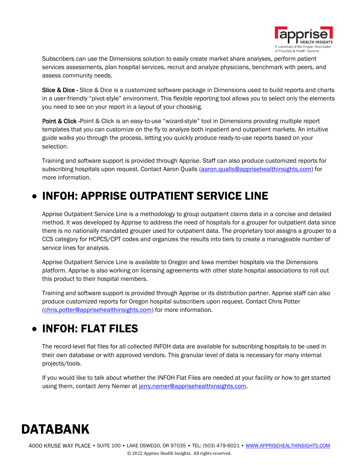

Subscribers can use the Dimensions solution to easily create market share analyses, perform patient services assessments, plan hospital services, recruit and analyze physicians, benchmark with peers, and assess community needs.

Slice & Dice - Slice & Dice is a customized software package in Dimensions used to build reports and charts in a user-friendly "pivot-style" environment. This flexible reporting tool allows you to select only the elements you need to see on your report in a layout of your choosing.

Point & Click -Point & Click is an easy-to-use "wizard-style" tool in Dimensions providing multiple report templates that you can customize on the fly to analyze both inpatient and outpatient markets. An intuitive guide walks you through the process, letting you quickly produce ready-to-use reports based on your selection.

Training and software support is provided through Apprise. Staff can also produce customized reports for subscribing hospitals upon request. Contact Aaron Qualls [\(aaron.qualls@apprisehealthinsights.com\)](mailto:aaron.qualls@apprisehealthinsights.com) for more information.

### • INFOH: APPRISE OUTPATIENT SERVICE LINE

Apprise Outpatient Service Line is a methodology to group outpatient claims data in a concise and detailed method. It was developed by Apprise to address the need of hospitals for a grouper for outpatient data since there is no nationally mandated grouper used for outpatient data. The proprietary tool assigns a grouper to a CCS category for HCPCS/CPT codes and organizes the results into tiers to create a manageable number of service lines for analysis.

Apprise Outpatient Service Line is available to Oregon and Iowa member hospitals via the Dimensions platform. Apprise is also working on licensing agreements with other state hospital associations to roll out this product to their hospital members.

Training and software support is provided through Apprise or its distribution partner. Apprise staff can also produce customized reports for Oregon hospital subscribers upon request. Contact Chris Potter [\(chris.potter@apprisehealthinsights.com\)](mailto:chris.potter@apprisehealthinsights.com) for more information.

### • INFOH: FLAT FILES

The record-level flat files for all collected INFOH data are available for subscribing hospitals to be used in their own database or with approved vendors. This granular level of data is necessary for many internal projects/tools.

If you would like to talk about whether the INFOH Flat Files are needed at your facility or how to get started using them, contact Jerry Nemer at [jerry.nemer@apprisehealthinsights.com.](mailto:jerry.nemer@apprisehealthinsights.com)

## DATABANK

4000 KRUSE WAY PLACE • SUITE 100 • LAKE OSWEGO, OR 97035 • TEL: (503) 479-6021 • [WWW.APPRISEHEALTHINSIGHTS.COM](http://www.apprisehealthinsights.com/) © 2022 Apprise Health Insights. All rights reserved.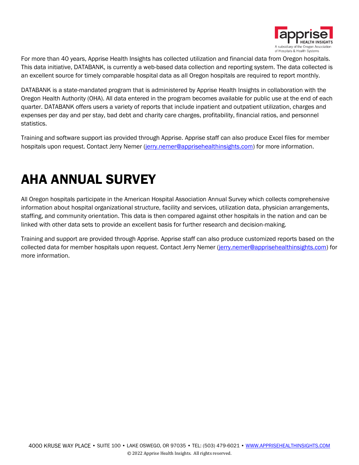

For more than 40 years, Apprise Health Insights has collected utilization and financial data from Oregon hospitals. This data initiative, DATABANK, is currently a web-based data collection and reporting system. The data collected is an excellent source for timely comparable hospital data as all Oregon hospitals are required to report monthly.

DATABANK is a state-mandated program that is administered by Apprise Health Insights in collaboration with the Oregon Health Authority (OHA). All data entered in the program becomes available for public use at the end of each quarter. DATABANK offers users a variety of reports that include inpatient and outpatient utilization, charges and expenses per day and per stay, bad debt and charity care charges, profitability, financial ratios, and personnel statistics.

Training and software support ias provided through Apprise. Apprise staff can also produce Excel files for member hospitals upon request. Contact Jerry Nemer [\(jerry.nemer@apprisehealthinsights.com\)](mailto:jerry.nemer@apprisehealthinsights.com) for more information.

## AHA ANNUAL SURVEY

All Oregon hospitals participate in the American Hospital Association Annual Survey which collects comprehensive information about hospital organizational structure, facility and services, utilization data, physician arrangements, staffing, and community orientation. This data is then compared against other hospitals in the nation and can be linked with other data sets to provide an excellent basis for further research and decision-making.

Training and support are provided through Apprise. Apprise staff can also produce customized reports based on the collected data for member hospitals upon request. Contact Jerry Nemer [\(jerry.nemer@apprisehealthinsights.com\)](mailto:jerry.nemer@apprisehealthinsights.com) for more information.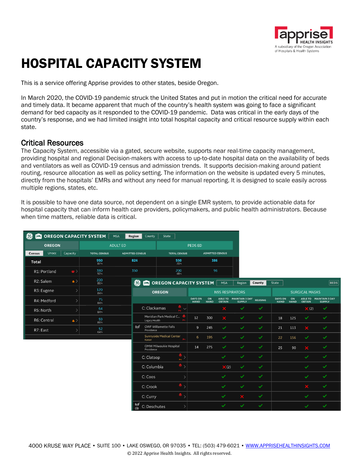

## HOSPITAL CAPACITY SYSTEM

This is a service offering Apprise provides to other states, beside Oregon.

In March 2020, the COVID-19 pandemic struck the United States and put in motion the critical need for accurate and timely data. It became apparent that much of the country's health system was going to face a significant demand for bed capacity as it responded to the COVID-19 pandemic. Data was critical in the early days of the country's response, and we had limited insight into total hospital capacity and critical resource supply within each state.

### Critical Resources

The Capacity System, accessible via a gated, secure website, supports near real-time capacity management, providing hospital and regional Decision-makers with access to up-to-date hospital data on the availability of beds and ventilators as well as COVID-19 census and admission trends. It supports decision-making around patient routing, resource allocation as well as policy setting. The information on the website is updated every 5 minutes, directly from the hospitals' EMRs and without any need for manual reporting. It is designed to scale easily across multiple regions, states, etc.

It is possible to have one data source, not dependent on a single EMR system, to provide actionable data for hospital capacity that can inform health care providers, policymakers, and public health administrators. Because when time matters, reliable data is critical.

| $\circledast$                 |           | OREGON CAPACITY SYSTEM | MSA             | Region                 | County                                | State                    |                     |                               |                        |                        |                        |                |                               |                   |                       |                                         |
|-------------------------------|-----------|------------------------|-----------------|------------------------|---------------------------------------|--------------------------|---------------------|-------------------------------|------------------------|------------------------|------------------------|----------------|-------------------------------|-------------------|-----------------------|-----------------------------------------|
| <b>OREGON</b>                 |           |                        | <b>ADULT ED</b> |                        |                                       |                          |                     | <b>PEDS ED</b>                |                        |                        |                        |                |                               |                   |                       |                                         |
| <b>Unocc</b><br><b>Census</b> | Capacity  | <b>TOTAL CENSUS</b>    |                 | <b>ADMITTED CENSUS</b> |                                       |                          | <b>TOTAL CENSUS</b> |                               | <b>ADMITTED CENSUS</b> |                        |                        |                |                               |                   |                       |                                         |
| <b>Total</b>                  |           | 950<br>87%             |                 | 824                    |                                       |                          | 550<br>70%          |                               | 386                    |                        |                        |                |                               |                   |                       |                                         |
| R1: Portland                  | $\bullet$ | 380<br>92%             |                 | 350                    |                                       |                          | $\frac{200}{48}$    |                               | 96                     |                        |                        |                |                               |                   |                       |                                         |
| R2: Salem                     | $\bullet$ | 200<br>86%             |                 | $\left( 36\right)$     | <b>PET OREGON CAPACITY SYSTEM</b> MSA |                          |                     |                               |                        |                        | Region                 | County         | State                         |                   |                       | $ _{\rm BEDS} $                         |
| R3: Eugene                    |           | 120<br>84%             |                 |                        |                                       | <b>OREGON</b>            |                     |                               |                        | <b>N95 RESPIRATORS</b> |                        |                |                               |                   | <b>SURGICAL MASKS</b> |                                         |
| R4: Medford                   |           | 75<br>84%              |                 |                        |                                       |                          |                     | <b>DAYS ON</b><br><b>HAND</b> | ON<br><b>HAND</b>      |                        | ABLE TO MAINTAIN 3 DAY | <b>REUSING</b> | <b>DAYS ON</b><br><b>HAND</b> | ON<br><b>HAND</b> | <b>OBTAIN</b>         | ABLE TO MAINTAIN 3 DAY<br><b>SUPPLY</b> |
| R5: North                     |           | 64<br>84%              |                 |                        | C: Clackamas                          |                          | $\sim$              |                               |                        | $\mathbf x$            | ✓                      | $\checkmark$   |                               |                   | $\mathbf{\times}$ (2) | $\checkmark$                            |
| R6: Central                   | $\bullet$ | 59<br>88%              |                 |                        | Legacy Health                         | Meridian Park Medical C  |                     | 12                            | 300                    | $\mathbf x$            | $\checkmark$           | $\checkmark$   | 18                            | 125               | $\checkmark$          | $\checkmark$                            |
| R7: East                      |           | 52<br>64%              |                 | $(r_1)^!$              | Providence                            | OWF Willamette Falls     |                     | $\overline{9}$                | 245                    | $\checkmark$           | $\checkmark$           | $\checkmark$   | 21                            | 113               | $\mathbf{x}$          | $\checkmark$                            |
|                               |           |                        |                 |                        | Kaiser                                | Sunnyside Medical Center |                     | 6                             | 195                    | $\checkmark$           | ✓                      | ✓              | 22                            | 156               | ✓                     | $\checkmark$                            |
|                               |           |                        |                 |                        | Providence                            | OMW Milwaukie Hospital   |                     | 14                            | 275                    | ✓                      | ✓                      | ✓              | 25                            | 90                |                       | $\checkmark$                            |
|                               |           |                        |                 |                        | C: Clatsop                            |                          | $\frac{a}{n}$ >     |                               |                        | $\checkmark$           | $\checkmark$           | $\checkmark$   |                               |                   | ✓                     | $\checkmark$                            |
|                               |           |                        |                 |                        | C: Columbia                           |                          | $\rightarrow$       |                               |                        | $x(2)$                 | ✓                      | $\checkmark$   |                               |                   | ✓                     | $\checkmark$                            |
|                               |           |                        |                 |                        | C: Coos                               |                          | $\rightarrow$       |                               |                        | $\checkmark$           | ✓                      | ✓              |                               |                   | ✓                     | $\checkmark$                            |
|                               |           |                        |                 |                        | C: Crook                              |                          | $^{\circ}$ ,        |                               |                        | $\checkmark$           | $\checkmark$           | $\checkmark$   |                               |                   | $\mathbf x$           | $\checkmark$                            |
|                               |           |                        |                 |                        | C: Curry                              |                          | $^{\circ}$ ,        |                               |                        | $\checkmark$           | $\mathbf x$            | $\checkmark$   |                               |                   | ✓                     | $\checkmark$                            |
|                               |           |                        |                 | (3)                    | C: Deschutes                          |                          | $\rightarrow$       |                               |                        | $\checkmark$           | $\checkmark$           | $\checkmark$   |                               |                   | ✓                     | $\checkmark$                            |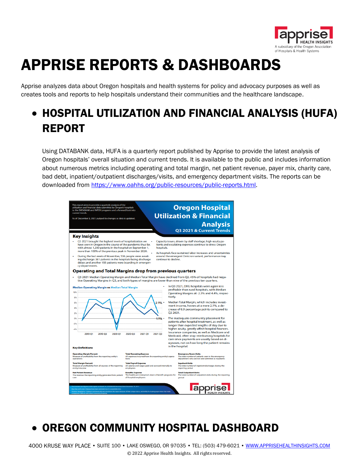

# APPRISE REPORTS & DASHBOARDS

Apprise analyzes data about Oregon hospitals and health systems for policy and advocacy purposes as well as creates tools and reports to help hospitals understand their communities and the healthcare landscape.

## • HOSPITAL UTILIZATION AND FINANCIAL ANALYSIS (HUFA) REPORT

Using DATABANK data, HUFA is a quarterly report published by Apprise to provide the latest analysis of Oregon hospitals' overall situation and current trends. It is available to the public and includes information about numerous metrics including operating and total margin, net patient revenue, payer mix, charity care, bad debt, inpatient/outpatient discharges/visits, and emergency department visits. The reports can be downloaded from [https://www.oahhs.org/public-resources/public-reports.html.](https://www.oahhs.org/public-resources/public-reports.html)



## • OREGON COMMUNITY HOSPITAL DASHBOARD

4000 KRUSE WAY PLACE • SUITE 100 • LAKE OSWEGO, OR 97035 • TEL: (503) 479-6021 • [WWW.APPRISEHEALTHINSIGHTS.COM](http://www.apprisehealthinsights.com/) © 2022 Apprise Health Insights. All rights reserved.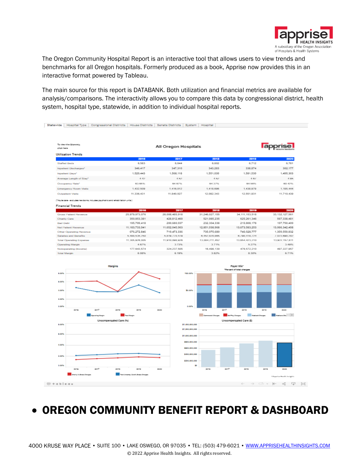

The Oregon Community Hospital Report is an interactive tool that allows users to view trends and benchmarks for all Oregon hospitals. Formerly produced as a book, Apprise now provides this in an interactive format powered by Tableau.

The main source for this report is DATABANK. Both utilization and financial metrics are available for analysis/comparisons. The interactivity allows you to compare this data by congressional district, health system, hospital type, statewide, in addition to individual hospital reports.



• OREGON COMMUNITY BENEFIT REPORT & DASHBOARD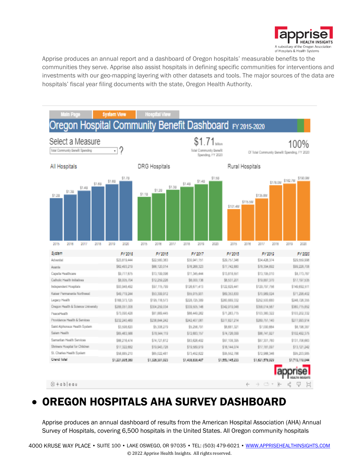

Apprise produces an annual report and a dashboard of Oregon hospitals' measurable benefits to the communities they serve. Apprise also assist hospitals in defining specific communities for interventions and investments with our geo-mapping layering with other datasets and tools. The major sources of the data are hospitals' fiscal year filing documents with the state, Oregon Health Authority.



### • OREGON HOSPITALS AHA SURVEY DASHBOARD

Apprise produces an annual dashboard of results from the American Hospital Association (AHA) Annual Survey of Hospitals, covering 6,500 hospitals in the United States. All Oregon community hospitals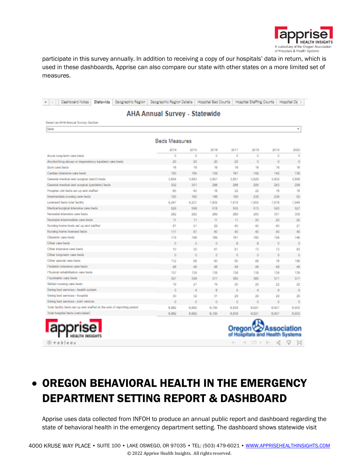

participate in this survey annually. In addition to receiving a copy of our hospitals' data in return, which is used in these dashboards, Apprise can also compare our state with other states on a more limited set of measures.

| Deshboard Notes<br>Statewide<br>Geographic Region    | Geographic Region Details |                 | <b>Hospital Bed Counts</b> |       | <b>Hospital Staffing Counts</b> |          | Hospital Dd |  |  |  |  |
|------------------------------------------------------|---------------------------|-----------------|----------------------------|-------|---------------------------------|----------|-------------|--|--|--|--|
| AHA Annual Survey - Statewide                        |                           |                 |                            |       |                                 |          |             |  |  |  |  |
| Select an AHA Annual Survey Section                  |                           |                 |                            |       |                                 |          |             |  |  |  |  |
| Barls                                                |                           |                 |                            |       |                                 |          | ٠           |  |  |  |  |
|                                                      | <b>Beds Measures</b>      |                 |                            |       |                                 |          |             |  |  |  |  |
|                                                      | 2014                      | 2015            | 2016                       | 2017  | 2018                            | 2019     | 2020        |  |  |  |  |
| Acule long-term care beds                            | O.                        | o               | o                          | D.    | O.                              | O.       | D.          |  |  |  |  |
| Alcoholidrug abuse or dependency inpatient care beds | 20                        | 20 <sub>1</sub> | 20                         | 20    | O.                              | $\cup$   | D.          |  |  |  |  |
| Burn care beds                                       | 16                        | 16              | 16                         | 16    | 16                              | 16       | 16          |  |  |  |  |
| Cardacinlansive care beds                            | 193                       | 185             | 159                        | 167   | 142                             | 142      | 138         |  |  |  |  |
| General medical and surgical (adult) beds            | 3,854                     | 3,883           | 3.85J                      | 3,851 | 3.829                           | 3,902    | 3,899       |  |  |  |  |
| General medical and surgical (pediatric) beds        | 302                       | 301             | 286                        | 288   | 285                             | 283      | 298         |  |  |  |  |
| Hospital unit beds set up and staffed                | 65                        | 40              | 16                         | 22    | 22                              | 16       | 16          |  |  |  |  |
| Intermediate nursing care beds                       | 193                       | 160             | 146                        | 199   | 239                             | 238      | 93          |  |  |  |  |
| Licensed bads total facility                         | 8,247                     | 8,237           | 7,805                      | 7,819 | 7,800                           | 7,816    | 7,949       |  |  |  |  |
| Medical/surgical intensive care beds                 | 529                       | 558             | 518                        | 505   | 513                             | 520      | 527         |  |  |  |  |
| Necruital Intensive care beds                        | 282                       | 282             | 289                        | 289   | 283                             | 301      | 309         |  |  |  |  |
| Neonatal intermediate care beds                      | H                         | 11              | $^{\dagger}$               | 11    | 20                              | 20       | 20          |  |  |  |  |
| Nursing home beds set up and staffed                 | 81                        | 51              | 29                         | 40    | 40                              | 40       | 21          |  |  |  |  |
| Nursing home licensed beds                           | 177                       | B               | 40                         | 40    | 40                              | 40       | 40          |  |  |  |  |
| Obstatric care beds                                  | 779                       | 7198            | 789                        | 781   | 780                             | 756      | 7.483       |  |  |  |  |
| Other care beds                                      | $\Omega$                  | $\Box$          | Ð                          | 8     | 8                               | $\theta$ | 0           |  |  |  |  |
| Other Intensive care beds                            | 10                        | 30 <sub>1</sub> | 81                         | 81    | 73                              | 73       | 83          |  |  |  |  |
| Other long-lerm care beds                            | $\Omega$                  | $\Box$          | $\circ$                    | D.    | O.                              | $\Omega$ | o           |  |  |  |  |
| Other special care beds                              | 112                       | 88              | 80                         | 80    | 88                              | 78       | 188         |  |  |  |  |
| Pediatric intensive care bads                        | 48                        | 48              | 48                         | 48    | 48                              | 48       | 48          |  |  |  |  |
| Physical rehabilitation care beds                    | 13.7                      | 139             | 139                        | 138   | 139                             | 139      | 139         |  |  |  |  |
| Psychiatric care beds                                | 357                       | 356             | 317                        | 380   | 380                             | 371      | 377         |  |  |  |  |
| Skilled nursing care beds                            | 19                        | 21              | 19                         | 20    | 20                              | 22       | 22          |  |  |  |  |
| Swing bed services - health system                   | 3                         | $\overline{4}$  | 8                          | 5     | 4                               | 4        | 4           |  |  |  |  |
| Swing bed services - hospital                        | 30                        | 32              | 31                         | 29    | 29                              | 29       | 29          |  |  |  |  |

 $\Box$ 

6,862

6,862

 $-\bar{0}$ 

6,882

6,882

 $0$ 

6,795

6,795

 $\cup$ 

6,838

6,838

 $\circ$ 

6.821

6,821

**Oregon** Association of Hospitals and Health Systems

 $\leftarrow$   $\rightarrow$   $\leftarrow$   $\cdot$   $\leftarrow$   $\leftarrow$   $\leftarrow$   $\leftarrow$   $\leftarrow$ 

 $\cup$ 

6,907

6,907

 $\Box$ 

8,903

6,903

## • OREGON BEHAVIORAL HEALTH IN THE EMERGENCY DEPARTMENT SETTING REPORT & DASHBOARD

Swing bed services - joint venture

[blat hospital bads (calculated)

 $\Leftrightarrow$  + a b  $\vert$  e a u

fotal facility beds set up and staffed at the end of reporting period

HEALTH INSIGHTS

Apprise uses data collected from INFOH to produce an annual public report and dashboard regarding the state of behavioral health in the emergency department setting. The dashboard shows statewide visit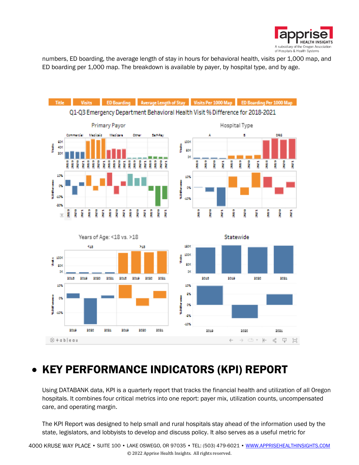![](_page_12_Picture_0.jpeg)

numbers, ED boarding, the average length of stay in hours for behavioral health, visits per 1,000 map, and ED boarding per 1,000 map. The breakdown is available by payer, by hospital type, and by age.

![](_page_12_Figure_2.jpeg)

### • KEY PERFORMANCE INDICATORS (KPI) REPORT

Using DATABANK data, KPI is a quarterly report that tracks the financial health and utilization of all Oregon hospitals. It combines four critical metrics into one report: payer mix, utilization counts, uncompensated care, and operating margin.

The KPI Report was designed to help small and rural hospitals stay ahead of the information used by the state, legislators, and lobbyists to develop and discuss policy. It also serves as a useful metric for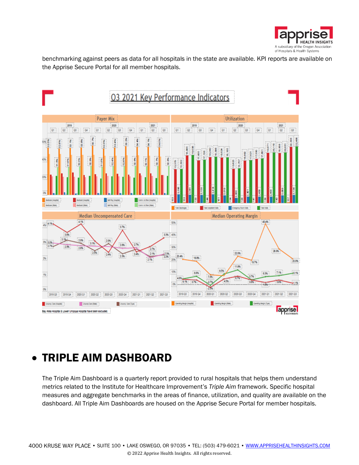![](_page_13_Picture_0.jpeg)

benchmarking against peers as data for all hospitals in the state are available. KPI reports are available on the Apprise Secure Portal for all member hospitals.

![](_page_13_Figure_2.jpeg)

### • TRIPLE AIM DASHBOARD

The Triple Aim Dashboard is a quarterly report provided to rural hospitals that helps them understand metrics related to the Institute for Healthcare Improvement's *Triple Aim* framework. Specific hospital measures and aggregate benchmarks in the areas of finance, utilization, and quality are available on the dashboard. All Triple Aim Dashboards are housed on the Apprise Secure Portal for member hospitals.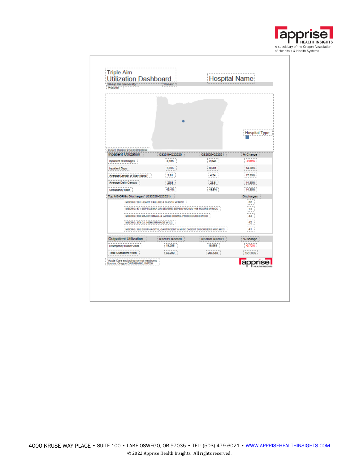![](_page_14_Picture_0.jpeg)

|                                         |                                                                    |               | Hospital Type          |
|-----------------------------------------|--------------------------------------------------------------------|---------------|------------------------|
|                                         |                                                                    |               |                        |
| C 2021 Mapbox C OpenStreetMap           |                                                                    |               |                        |
| <b>Inpatient Utilization</b>            | Q32019-Q22020                                                      | Q32020-Q22021 | % Change               |
| <b>Inpatient Discharges</b>             | 2,105                                                              | 2,046         | $-2.80\%$              |
| Inpatient Days                          | 7,595                                                              | 8,681         | 14.30%                 |
| Average Length of Stay (days)"          | 3.61                                                               | 4.24          | 17.59%                 |
| <b>Average Daily Census</b>             | 20.8                                                               | 23.8          | 14.30%                 |
| Occupancy Rate                          | 43.4%                                                              | 49.5%         | 14.30%                 |
| Top M3-DRGs Discharges" (Q32020-Q22021) |                                                                    |               | <b>Discharges</b>      |
|                                         | MSDRG: 291 HEART FAILURE & SHOCK W MCC                             |               | 82                     |
|                                         | MSDRG: 871 SEPTICEMIA OR SEVERE SEPSIS WIO MV >98 HOURS W MCC      |               | 73                     |
|                                         | MSDRG: 330 MAJOR SMALL & LARGE BOWEL PROCEDURES W CC               |               | 43                     |
| MSDRG: 378 G.I. HEMORRHAGE WICC         |                                                                    |               | 42                     |
|                                         | MSDRG: 392 ESOPHAGITIS, GASTROENT & MISC DIGEST DISORDERS WIO MCC. |               | 41                     |
| Outpatient Utilization                  | Q32019-Q22020                                                      | Q32020-Q22021 | % Change               |
| Emergency Room Visits                   | 19,286                                                             | 18,569        | $-3.72%$               |
| <b>Total Outpatient Visits</b>          | 82,280                                                             | 206,648       | 151.15%                |
| "Acute Care excluding normal newborns   |                                                                    |               |                        |
| Source: Oregon DATABANK, INFOH          |                                                                    |               | <b>HEALTH INSIGHTS</b> |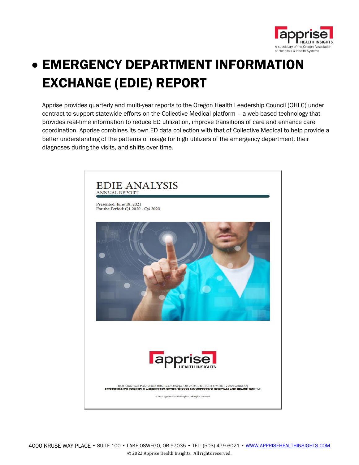![](_page_15_Picture_0.jpeg)

# • EMERGENCY DEPARTMENT INFORMATION EXCHANGE (EDIE) REPORT

Apprise provides quarterly and multi-year reports to the Oregon Health Leadership Council (OHLC) under contract to support statewide efforts on the Collective Medical platform – a web-based technology that provides real-time information to reduce ED utilization, improve transitions of care and enhance care coordination. Apprise combines its own ED data collection with that of Collective Medical to help provide a better understanding of the patterns of usage for high utilizers of the emergency department, their diagnoses during the visits, and shifts over time.

![](_page_15_Picture_3.jpeg)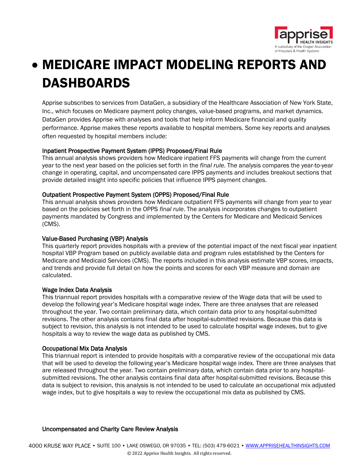![](_page_16_Picture_0.jpeg)

# • MEDICARE IMPACT MODELING REPORTS AND DASHBOARDS

Apprise subscribes to services from DataGen, a subsidiary of the Healthcare Association of New York State, Inc., which focuses on Medicare payment policy changes, value-based programs, and market dynamics. DataGen provides Apprise with analyses and tools that help inform Medicare financial and quality performance. Apprise makes these reports available to hospital members. Some key reports and analyses often requested by hospital members include:

### Inpatient Prospective Payment System (IPPS) Proposed/Final Rule

This annual analysis shows providers how Medicare inpatient FFS payments will change from the current year to the next year based on the policies set forth in the *final rule*. The analysis compares the year-to-year change in operating, capital, and uncompensated care IPPS payments and includes breakout sections that provide detailed insight into specific policies that influence IPPS payment changes.

### Outpatient Prospective Payment System (OPPS) Proposed/Final Rule

This annual analysis shows providers how Medicare outpatient FFS payments will change from year to year based on the policies set forth in the OPPS *final rule*. The analysis incorporates changes to outpatient payments mandated by Congress and implemented by the Centers for Medicare and Medicaid Services (CMS).

### Value-Based Purchasing (VBP) Analysis

This quarterly report provides hospitals with a preview of the potential impact of the next fiscal year inpatient hospital VBP Program based on publicly available data and program rules established by the Centers for Medicare and Medicaid Services (CMS). The reports included in this analysis estimate VBP scores, impacts, and trends and provide full detail on how the points and scores for each VBP measure and domain are calculated.

### Wage Index Data Analysis

This triannual report provides hospitals with a comparative review of the Wage data that will be used to develop the following year's Medicare hospital wage index. There are three analyses that are released throughout the year. Two contain preliminary data, which contain data prior to any hospital-submitted revisions. The other analysis contains final data after hospital-submitted revisions. Because this data is subject to revision, this analysis is not intended to be used to calculate hospital wage indexes, but to give hospitals a way to review the wage data as published by CMS.

### Occupational Mix Data Analysis

This triannual report is intended to provide hospitals with a comparative review of the occupational mix data that will be used to develop the following year's Medicare hospital wage index. There are three analyses that are released throughout the year. Two contain preliminary data, which contain data prior to any hospitalsubmitted revisions. The other analysis contains final data after hospital-submitted revisions. Because this data is subject to revision, this analysis is not intended to be used to calculate an occupational mix adjusted wage index, but to give hospitals a way to review the occupational mix data as published by CMS.

### Uncompensated and Charity Care Review Analysis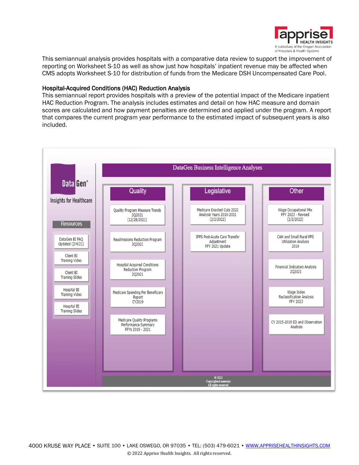![](_page_17_Picture_0.jpeg)

This semiannual analysis provides hospitals with a comparative data review to support the improvement of reporting on Worksheet S-10 as well as show just how hospitals' inpatient revenue may be affected when CMS adopts Worksheet S-10 for distribution of funds from the Medicare DSH Uncompensated Care Pool.

### Hospital-Acquired Conditions (HAC) Reduction Analysis

This semiannual report provides hospitals with a preview of the potential impact of the Medicare inpatient HAC Reduction Program. The analysis includes estimates and detail on how HAC measure and domain scores are calculated and how payment penalties are determined and applied under the program. A report that compares the current program year performance to the estimated impact of subsequent years is also included.

![](_page_17_Figure_4.jpeg)